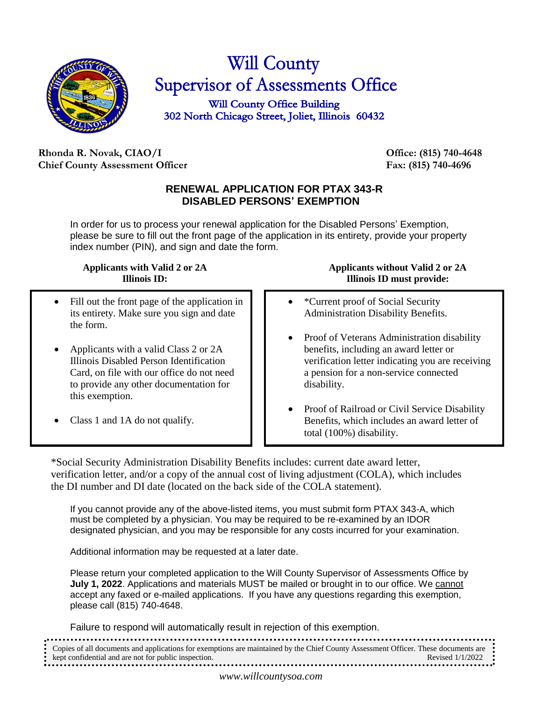

# **Will County** Supervisor of Assessments Office

**Will County Office Building** 302 North Chicago Street, Joliet, Illinois 60432

# **Rhonda R. Novak, CIAO/I Office: (815) 740-4648 Chief County Assessment Officer Fax: (815) 740-4696**

# **RENEWAL APPLICATION FOR PTAX 343-R DISABLED PERSONS' EXEMPTION**

In order for us to process your renewal application for the Disabled Persons' Exemption, please be sure to fill out the front page of the application in its entirety, provide your property index number (PIN), and sign and date the form.

### **Applicants with Valid 2 or 2A Illinois ID:**

- Fill out the front page of the application in its entirety. Make sure you sign and date the form.
- Applicants with a valid Class 2 or 2A Illinois Disabled Person Identification Card, on file with our office do not need to provide any other documentation for this exemption.
- Class 1 and 1A do not qualify.

# **Applicants without Valid 2 or 2A Illinois ID must provide:**

- \*Current proof of Social Security Administration Disability Benefits.
- Proof of Veterans Administration disability benefits, including an award letter or verification letter indicating you are receiving a pension for a non-service connected disability.
- Proof of Railroad or Civil Service Disability Benefits, which includes an award letter of total (100%) disability.

\*Social Security Administration Disability Benefits includes: current date award letter, verification letter, and/or a copy of the annual cost of living adjustment (COLA), which includes the DI number and DI date (located on the back side of the COLA statement).

If you cannot provide any of the above-listed items, you must submit form PTAX 343-A, which must be completed by a physician. You may be required to be re-examined by an IDOR designated physician, and you may be responsible for any costs incurred for your examination.

Additional information may be requested at a later date.

Please return your completed application to the Will County Supervisor of Assessments Office by **July 1, 2022**. Applications and materials MUST be mailed or brought in to our office. We cannot accept any faxed or e-mailed applications. If you have any questions regarding this exemption, please call (815) 740-4648.

Failure to respond will automatically result in rejection of this exemption.

| • Copies of all documents and applications for exemptions are maintained by the Chief County Assessment Officer. These documents are $\bullet$ |                    |
|------------------------------------------------------------------------------------------------------------------------------------------------|--------------------|
| • kept confidential and are not for public inspection.                                                                                         | Revised $1/1/2022$ |
|                                                                                                                                                |                    |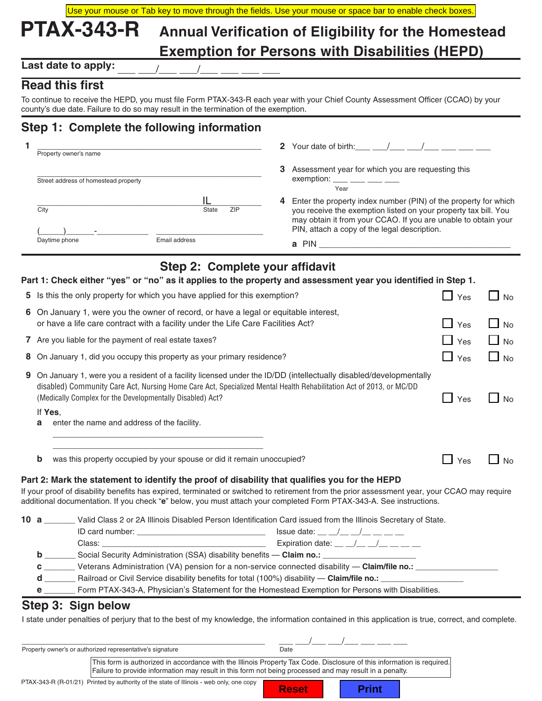| Use your mouse or Tab key to move through the fields. Use your mouse or space bar to enable check boxes. |  |  |
|----------------------------------------------------------------------------------------------------------|--|--|
| PTAX-343-R Annual Verification of Eligibility for the Homestead                                          |  |  |
| <b>Exemption for Persons with Disabilities (HEPD)</b>                                                    |  |  |

Last date to apply:

# **Read this first**

To continue to receive the HEPD, you must file Form PTAX-343-R each year with your Chief County Assessment Officer (CCAO) by your county's due date. Failure to do so may result in the termination of the exemption.

# **Step 1: Complete the following information**

| Property owner's name                |                     | Your date of birth: /<br>$\mathbf{2}$                                                                                                                                                                                                                     |
|--------------------------------------|---------------------|-----------------------------------------------------------------------------------------------------------------------------------------------------------------------------------------------------------------------------------------------------------|
| Street address of homestead property |                     | Assessment year for which you are requesting this<br>3<br>exemption: $\frac{1}{1}$ $\frac{1}{1}$ $\frac{1}{1}$ $\frac{1}{1}$ $\frac{1}{1}$ $\frac{1}{1}$<br>Year                                                                                          |
| City                                 | <b>ZIP</b><br>State | Enter the property index number (PIN) of the property for which<br>4<br>you receive the exemption listed on your property tax bill. You<br>may obtain it from your CCAO. If you are unable to obtain your<br>PIN, attach a copy of the legal description. |
| Daytime phone                        | Email address       | <b>PIN</b><br>a                                                                                                                                                                                                                                           |

# **Step 2: Complete your affidavit**

|    | Part 1: Check either "yes" or "no" as it applies to the property and assessment year you identified in Step 1.                                                                                                                                                                                                                                                                                                                                                                                                            |             |                        |
|----|---------------------------------------------------------------------------------------------------------------------------------------------------------------------------------------------------------------------------------------------------------------------------------------------------------------------------------------------------------------------------------------------------------------------------------------------------------------------------------------------------------------------------|-------------|------------------------|
|    | 5 Is this the only property for which you have applied for this exemption?                                                                                                                                                                                                                                                                                                                                                                                                                                                | $\Box$ Yes  | $\Box$ No              |
|    | 6 On January 1, were you the owner of record, or have a legal or equitable interest,                                                                                                                                                                                                                                                                                                                                                                                                                                      |             |                        |
|    | or have a life care contract with a facility under the Life Care Facilities Act?                                                                                                                                                                                                                                                                                                                                                                                                                                          | $\Box$ Yes  | $\Box$ No              |
|    | 7 Are you liable for the payment of real estate taxes?                                                                                                                                                                                                                                                                                                                                                                                                                                                                    | $\Box$ Yes  | $\Box$ No<br>$\Box$ No |
| 8. | On January 1, did you occupy this property as your primary residence?                                                                                                                                                                                                                                                                                                                                                                                                                                                     | Yes<br>- 11 |                        |
| 9  | On January 1, were you a resident of a facility licensed under the ID/DD (intellectually disabled/developmentally<br>disabled) Community Care Act, Nursing Home Care Act, Specialized Mental Health Rehabilitation Act of 2013, or MC/DD<br>(Medically Complex for the Developmentally Disabled) Act?                                                                                                                                                                                                                     | Yes         | <b>No</b>              |
|    | If Yes.<br>enter the name and address of the facility.<br>a                                                                                                                                                                                                                                                                                                                                                                                                                                                               |             |                        |
|    | <u> 1989 - Johann Barbara, margaret eta idazlearia (h. 1989).</u><br>b<br>was this property occupied by your spouse or did it remain unoccupied?<br>Part 2: Mark the statement to identify the proof of disability that qualifies you for the HEPD<br>If your proof of disability benefits has expired, terminated or switched to retirement from the prior assessment year, your CCAO may require<br>additional documentation. If you check "e" below, you must attach your completed Form PTAX-343-A. See instructions. | Yes         | <b>No</b>              |
|    | 10 a _______ Valid Class 2 or 2A Illinois Disabled Person Identification Card issued from the Illinois Secretary of State.<br><b>b</b> ___________ Social Security Administration (SSA) disability benefits - Claim no.: ______________________________<br>C ________ Veterans Administration (VA) pension for a non-service connected disability - Claim/file no.: _________________                                                                                                                                     |             |                        |
|    | d __________ Railroad or Civil Service disability benefits for total (100%) disability -- Claim/file no.: _____________________________                                                                                                                                                                                                                                                                                                                                                                                   |             |                        |
|    | e ________ Form PTAX-343-A, Physician's Statement for the Homestead Exemption for Persons with Disabilities.                                                                                                                                                                                                                                                                                                                                                                                                              |             |                        |
|    | Step 3: Sign below<br>I state under penalties of perjury that to the best of my knowledge, the information contained in this application is true, correct, and complete.<br>/____ ___/____ ____ ____ ____                                                                                                                                                                                                                                                                                                                 |             |                        |
|    | Property owner's or authorized representative's signature<br>Date                                                                                                                                                                                                                                                                                                                                                                                                                                                         |             |                        |

This form is authorized in accordance with the Illinois Property Tax Code*.* Disclosure of this information is required. Failure to provide information may result in this form not being processed and may result in a penalty.